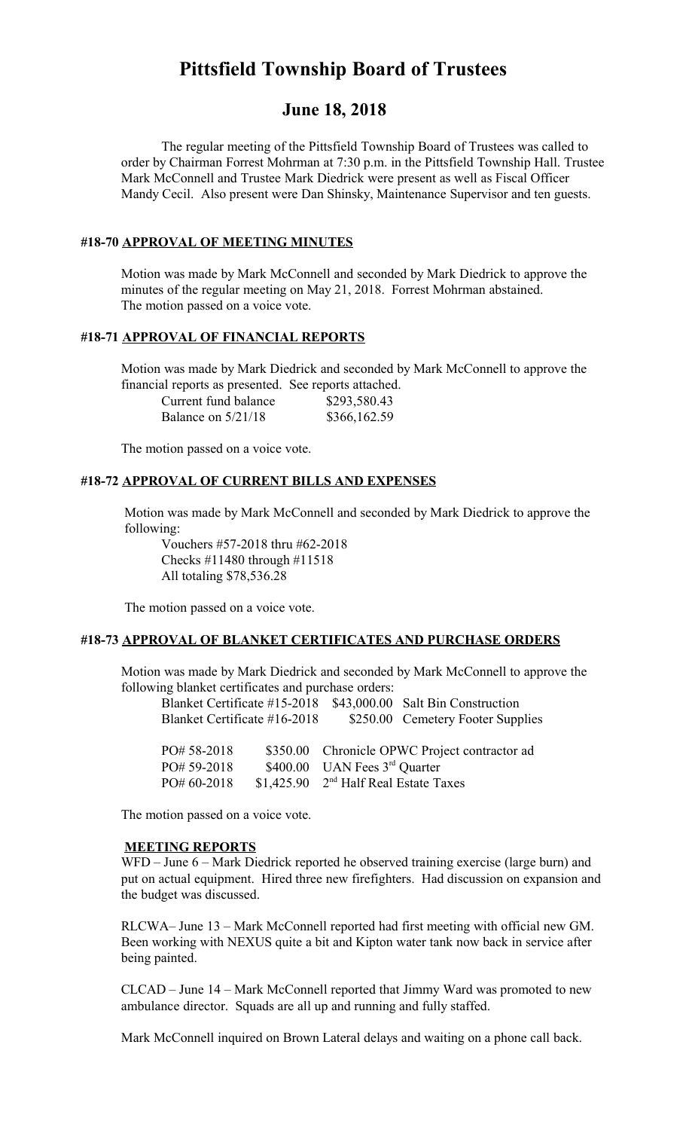# **Pittsfield Township Board of Trustees**

# **June 18, 2018**

The regular meeting of the Pittsfield Township Board of Trustees was called to order by Chairman Forrest Mohrman at 7:30 p.m. in the Pittsfield Township Hall. Trustee Mark McConnell and Trustee Mark Diedrick were present as well as Fiscal Officer Mandy Cecil. Also present were Dan Shinsky, Maintenance Supervisor and ten guests.

#### **#18-70 APPROVAL OF MEETING MINUTES**

Motion was made by Mark McConnell and seconded by Mark Diedrick to approve the minutes of the regular meeting on May 21, 2018. Forrest Mohrman abstained. The motion passed on a voice vote.

#### **#18-71 APPROVAL OF FINANCIAL REPORTS**

Motion was made by Mark Diedrick and seconded by Mark McConnell to approve the financial reports as presented. See reports attached.

| Current fund balance | \$293,580.43 |
|----------------------|--------------|
| Balance on $5/21/18$ | \$366,162.59 |

The motion passed on a voice vote.

#### **#18-72 APPROVAL OF CURRENT BILLS AND EXPENSES**

Motion was made by Mark McConnell and seconded by Mark Diedrick to approve the following:

Vouchers #57-2018 thru #62-2018 Checks #11480 through #11518 All totaling \$78,536.28

The motion passed on a voice vote.

#### **#18-73 APPROVAL OF BLANKET CERTIFICATES AND PURCHASE ORDERS**

Motion was made by Mark Diedrick and seconded by Mark McConnell to approve the following blanket certificates and purchase orders:

| Blanket Certificate #15-2018 |                                                   | \$43,000.00 Salt Bin Construction             |
|------------------------------|---------------------------------------------------|-----------------------------------------------|
| Blanket Certificate #16-2018 |                                                   | \$250.00 Cemetery Footer Supplies             |
|                              |                                                   |                                               |
| PO# 58-2018                  |                                                   | \$350.00 Chronicle OPWC Project contractor ad |
| PO# 59-2018                  | \$400.00 UAN Fees $3rd$ Quarter                   |                                               |
| PO# 60-2018                  | \$1,425.90 2 <sup>nd</sup> Half Real Estate Taxes |                                               |

The motion passed on a voice vote.

#### **MEETING REPORTS**

WFD – June 6 – Mark Diedrick reported he observed training exercise (large burn) and put on actual equipment. Hired three new firefighters. Had discussion on expansion and the budget was discussed.

RLCWA– June 13 – Mark McConnell reported had first meeting with official new GM. Been working with NEXUS quite a bit and Kipton water tank now back in service after being painted.

CLCAD – June 14 – Mark McConnell reported that Jimmy Ward was promoted to new ambulance director. Squads are all up and running and fully staffed.

Mark McConnell inquired on Brown Lateral delays and waiting on a phone call back.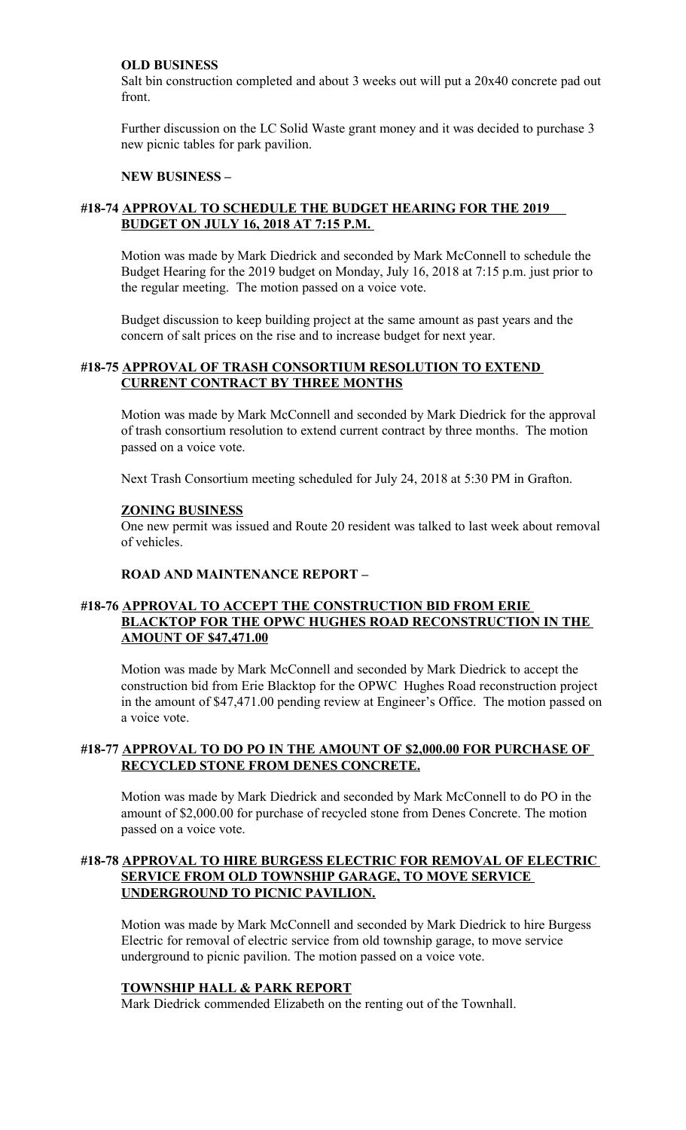#### **OLD BUSINESS**

Salt bin construction completed and about 3 weeks out will put a 20x40 concrete pad out front.

Further discussion on the LC Solid Waste grant money and it was decided to purchase 3 new picnic tables for park pavilion.

#### **NEW BUSINESS –**

# **#18-74 APPROVAL TO SCHEDULE THE BUDGET HEARING FOR THE 2019 BUDGET ON JULY 16, 2018 AT 7:15 P.M.**

Motion was made by Mark Diedrick and seconded by Mark McConnell to schedule the Budget Hearing for the 2019 budget on Monday, July 16, 2018 at 7:15 p.m. just prior to the regular meeting. The motion passed on a voice vote.

Budget discussion to keep building project at the same amount as past years and the concern of salt prices on the rise and to increase budget for next year.

#### **#18-75 APPROVAL OF TRASH CONSORTIUM RESOLUTION TO EXTEND CURRENT CONTRACT BY THREE MONTHS**

Motion was made by Mark McConnell and seconded by Mark Diedrick for the approval of trash consortium resolution to extend current contract by three months. The motion passed on a voice vote.

Next Trash Consortium meeting scheduled for July 24, 2018 at 5:30 PM in Grafton.

#### **ZONING BUSINESS**

One new permit was issued and Route 20 resident was talked to last week about removal of vehicles.

# **ROAD AND MAINTENANCE REPORT –**

### **#18-76 APPROVAL TO ACCEPT THE CONSTRUCTION BID FROM ERIE BLACKTOP FOR THE OPWC HUGHES ROAD RECONSTRUCTION IN THE AMOUNT OF \$47,471.00**

Motion was made by Mark McConnell and seconded by Mark Diedrick to accept the construction bid from Erie Blacktop for the OPWC Hughes Road reconstruction project in the amount of \$47,471.00 pending review at Engineer's Office. The motion passed on a voice vote.

#### **#18-77 APPROVAL TO DO PO IN THE AMOUNT OF \$2,000.00 FOR PURCHASE OF RECYCLED STONE FROM DENES CONCRETE.**

Motion was made by Mark Diedrick and seconded by Mark McConnell to do PO in the amount of \$2,000.00 for purchase of recycled stone from Denes Concrete. The motion passed on a voice vote.

#### **#18-78 APPROVAL TO HIRE BURGESS ELECTRIC FOR REMOVAL OF ELECTRIC SERVICE FROM OLD TOWNSHIP GARAGE, TO MOVE SERVICE UNDERGROUND TO PICNIC PAVILION.**

Motion was made by Mark McConnell and seconded by Mark Diedrick to hire Burgess Electric for removal of electric service from old township garage, to move service underground to picnic pavilion. The motion passed on a voice vote.

#### **TOWNSHIP HALL & PARK REPORT**

Mark Diedrick commended Elizabeth on the renting out of the Townhall.